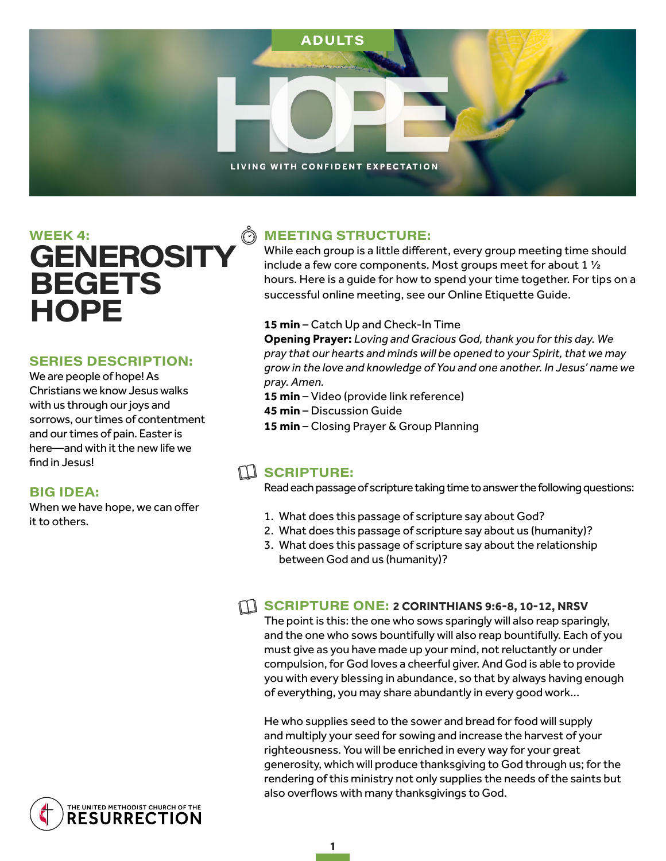

# WEEK 4: **GENEROSITY BEGETS HOPE**

#### **SERIES DESCRIPTION:**

We are people of hope! As Christians we know Jesus walks with us through our joys and sorrows, our times of contentment and our times of pain. Easter is here—and with it the new life we find in Jesus!

#### **BIG IDEA:**

When we have hope, we can offer it to others.

> THE UNITED METHODIST CHURCH OF THE **RESURRECTION**

### **MEETING STRUCTURE:**

While each group is a little different, every group meeting time should include a few core components. Most groups meet for about 1 ½ hours. Here is a guide for how to spend your time together. For tips on a successful online meeting, see our Online Etiquette Guide.

#### **15 min** – Catch Up and Check-In Time

**Opening Prayer:** *Loving and Gracious God, thank you for this day. We pray that our hearts and minds will be opened to your Spirit, that we may grow in the love and knowledge of You and one another. In Jesus' name we pray. Amen.* 

- **15 min** Video (provide link reference)
- **45 min** Discussion Guide
- **15 min** Closing Prayer & Group Planning

## $\Box$  SCRIPTURE:

Read each passage of scripture taking time to answer the following questions:

- 1. What does this passage of scripture say about God?
- 2. What does this passage of scripture say about us (humanity)?
- 3. What does this passage of scripture say about the relationship between God and us (humanity)?

#### **SCRIPTURE ONE: 2 CORINTHIANS 9:6-8, 10-12, NRSV**

The point is this: the one who sows sparingly will also reap sparingly, and the one who sows bountifully will also reap bountifully. Each of you must give as you have made up your mind, not reluctantly or under compulsion, for God loves a cheerful giver. And God is able to provide you with every blessing in abundance, so that by always having enough of everything, you may share abundantly in every good work...

He who supplies seed to the sower and bread for food will supply and multiply your seed for sowing and increase the harvest of your righteousness. You will be enriched in every way for your great generosity, which will produce thanksgiving to God through us; for the rendering of this ministry not only supplies the needs of the saints but also overflows with many thanksgivings to God.